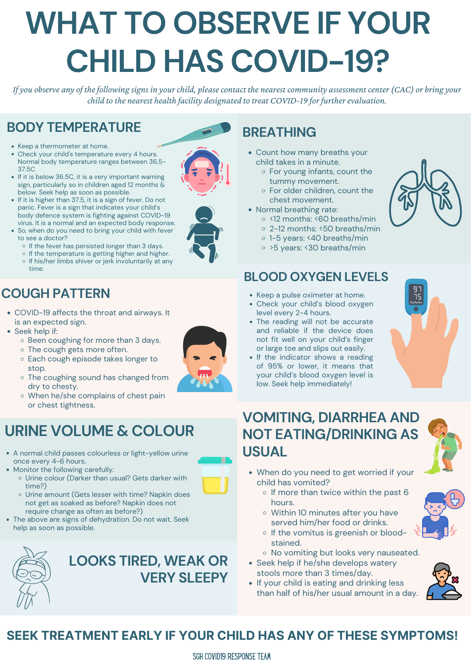- 
- of 95% or lower, it means that your child's blood oxygen level is low. Seek help immediately!

#### **BLOOD OXYGEN LEVELS**

- Keep a pulse oximeter at home.
- Check your child's blood oxygen level every 2-4 hours.
- The reading will not be accurate and reliable if the device does not fit well on your child's finger or large toe and slips out easily. • If the indicator shows a reading





### **VOMITING, DIARRHEA AND NOT EATING/DRINKING AS USUAL**

- o If the vomitus is greenish or bloodstained.
- o No vomiting but looks very nauseated.
- Seek help if he/she develops watery stools more than 3 times/day.
- If your child is eating and drinking less than half of his/her usual amount in a day.



- When do you need to get worried if your child has vomited?
	- $\circ$  If more than twice within the past 6 hours.



- COVID-19 affects the throat and airways. It is an expected sign.
- Seek help if:
	- o Been coughing for more than 3 days.
	- o The cough gets more often. o Each cough episode takes longer to stop. o The coughing sound has changed from dry to chesty. When he/she complains of chest pain or chest tightness.



# **COUGH PATTERN**

# **BREATHING**

- Count how many breaths your child takes in a minute.
	- For young infants, count the tummy movement.
	- For older children, count the chest movement.
- Normal breathing rate:
	- o <12 months: <60 breaths/min
	- 2-12 months: <50 breaths/min
	- o 1-5 years: <40 breaths/min
	- >5 years: <30 breaths/min
- Keep a thermometer at home.
- Check your child's temperature every 4 hours. Normal body temperature ranges between 36.5- 37.5C
- If it is below 36.5C, it is a very important warning sign, particularly so in children aged 12 months & below. Seek help as soon as possible.
- If it is higher than 37.5, it is a sign of fever. Do not panic. Fever is a sign that indicates your child's body defence system is fighting against COVID-19 virus. It is a normal and an expected body response.
- So, when do you need to bring your child with fever to see a doctor?
	- $\circ$  If the fever has persisted longer than 3 days.
	- $\circ$  If the temperature is getting higher and higher.
	- o If his/her limbs shiver or jerk involuntarily at any time.

# **URINE VOLUME & COLOUR**

- A normal child passes colourless or light-yellow urine once every 4-6 hours.
- Monitor the following carefully:
	- o Urine colour (Darker than usual? Gets darker with time?)



- Urine amount (Gets lesser with time? Napkin does not get as soaked as before? Napkin does not require change as often as before?)
- The above are signs of dehydration. Do not wait. Seek help as soon as possible.



#### **LOOKS TIRED, WEAK OR VERY SLEEPY**

#### **SEEK TREATMENT EARLY IF YOUR CHILD HAS ANY OF THESE SYMPTOMS!**

# **BODY TEMPERATURE**

*If you observe any of the following signs in your child, please contact the nearest community assessment center (CAC) or bring your child to the nearest health facility designated to treat COVID-19 for further evaluation.*

# **WHAT TO OBSERVE IF YOUR CHILD HAS COVID-19?**

SGH COVID19 RESPONSE TEAM



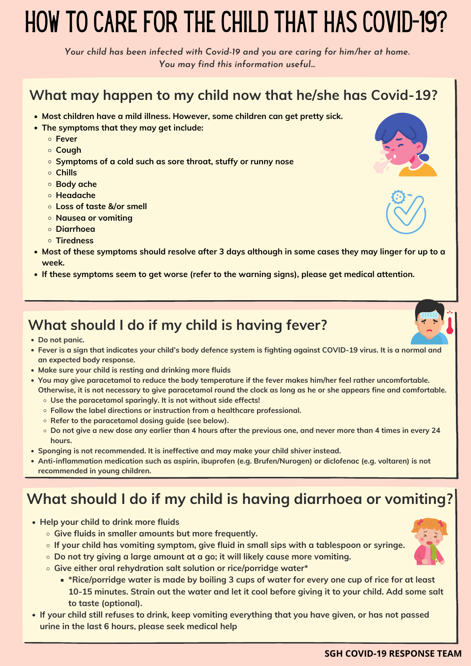### **What should I do if my child is having fever?**

**• Do not panic.** 

- **Most children have a mild illness. However, some children can get pretty sick.**
- **The symptoms that they may get include:**
	- **Fever**
	- **Cough**
	- **Symptoms of a cold such as sore throat, stuffy or runny nose**
	- **Chills**
	- **Body ache**
	- **Headache**
	- **Loss of taste &/or smell**
	- **Nausea or vomiting**
	- **Diarrhoea**
	- **Tiredness**
- **Most of these symptoms should resolve after 3 days although in some cases they may linger for up to a week.**
- **If these symptoms seem to get worse (refer to the warning signs), please get medical attention.**

**Fever is a sign that indicates your child's body defence system is fighting against COVID-19 virus. It is a normal and**







- **an expected body response.**
- **Make sure your child is resting and drinking more fluids**
- **You may give paracetamol to reduce the body temperature if the fever makes him/her feel rather uncomfortable. Otherwise, it is not necessary to give paracetamol round the clock as long as he or she appears fine and comfortable.** 
	- **Use the paracetamol sparingly. It is not without side effects!**
	- **Follow the label directions or instruction from a healthcare professional.**
	- **Refer to the paracetamol dosing guide (see below).**
	- **Do not give a new dose any earlier than 4 hours after the previous one, and never more than 4 times in every 24 hours.**
- **Sponging is not recommended. It is ineffective and may make your child shiver instead.**
- **Anti-inflammation medication such as aspirin, ibuprofen (e.g. Brufen/Nurogen) or diclofenac (e.g. voltaren) is not recommended in young children.**

- e enner oral renyaration sait solution or nce/pornage water<br>\*Rice/porridge water is made by boiling 3 cups of water for every one cup of rice for at least **10-15 minutes. Strain out the water and let it cool before giving it to your child. Add some salt to taste (optional).**
- **If your child still refuses to drink, keep vomiting everything that you have given, or has not passed urine in the last 6 hours, please seek medical help**

# **What should I do if my child is having diarrhoea or vomiting?**

- **Help your child to drink more fluids**
	- **Give fluids in smaller amounts but more frequently.**
	- **If your child has vomiting symptom, give fluid in small sips with a tablespoon or syringe.**
	- **Do not try giving a large amount at a go; it will likely cause more vomiting.**
	- **Give either oral rehydration salt solution or rice/porridge water\***



### **What may happen to my child now that he/she has Covid-19?**

# HOW TO CARE FOR THE CHILD THAT HAS COVID-19?

*Your child has been infected with Covid-19 and you are caring for him/her at home. You may find this information useful...*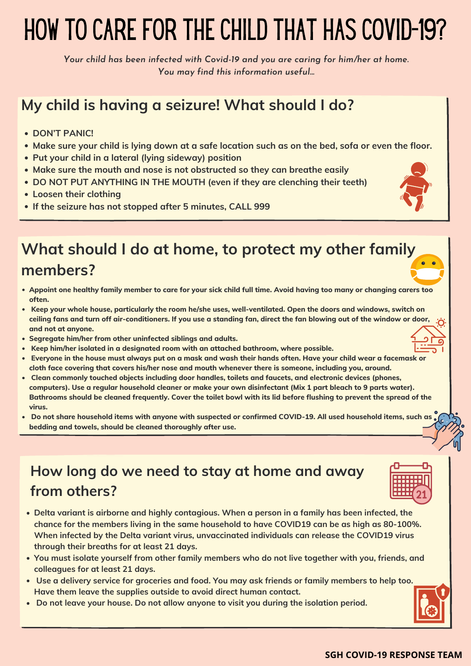- **DON'T PANIC!**
- **Make sure your child is lying down at a safe location such as on the bed, sofa or even the floor.**
- **Put your child in a lateral (lying sideway) position**
- **Make sure the mouth and nose is not obstructed so they can breathe easily**
- **DO NOT PUT ANYTHING IN THE MOUTH (even if they are clenching their teeth)**
- **Loosen their clothing**
- **If the seizure has not stopped after 5 minutes, CALL 999**

- **Delta variant is airborne and highly contagious. When a person in a family has been infected, the chance for the members living in the same household to have COVID19 can be as high as 80-100%. When infected by the Delta variant virus, unvaccinated individuals can release the COVID19 virus through their breaths for at least 21 days.**
- **You must isolate yourself from other family members who do not live together with you, friends, and colleagues for at least 21 days.**
- **Use a delivery service for groceries and food. You may ask friends or family members to help too. Have them leave the supplies outside to avoid direct human contact.**
- **Do not leave your house. Do not allow anyone to visit you during the isolation period.**



- **Appoint one healthy family member to care for your sick child full time. Avoid having too many or changing carers too often.**
- **Keep your whole house, particularly the room he/she uses, well-ventilated. Open the doors and windows, switch on ceiling fans and turn off air-conditioners. If you use a standing fan, direct the fan blowing out of the window or door, and not at anyone.**
- **Segregate him/her from other uninfected siblings and adults.**
- **Keep him/her isolated in a designated room with an attached bathroom, where possible.**
- 
- **Everyone in the house must always put on a mask and wash their hands often. Have your child wear a facemask or cloth face covering that covers his/her nose and mouth whenever there is someone, including you, around.**
- **Clean commonly touched objects including door handles, toilets and faucets, and electronic devices (phones, computers). Use a regular household cleaner or make your own disinfectant (Mix 1 part bleach to 9 parts water). Bathrooms should be cleaned frequently. Cover the toilet bowl with its lid before flushing to prevent the spread of the virus.**
- **Do not share household items with anyone with suspected or confirmed COVID-19. All used household items, such as**  $\bullet$ **bedding and towels, should be cleaned thoroughly after use.**

# **My child is having a seizure! What should I do?**

# **What should I do at home, to protect my other family members?**

#### **SGH COVID-19 RESPONSE TEAM**

### **How long do we need to stay at home and away from others?**

# HOW TO CARE FOR THE CHILD THAT HAS COVID-19?

*Your child has been infected with Covid-19 and you are caring for him/her at home. You may find this information useful...*